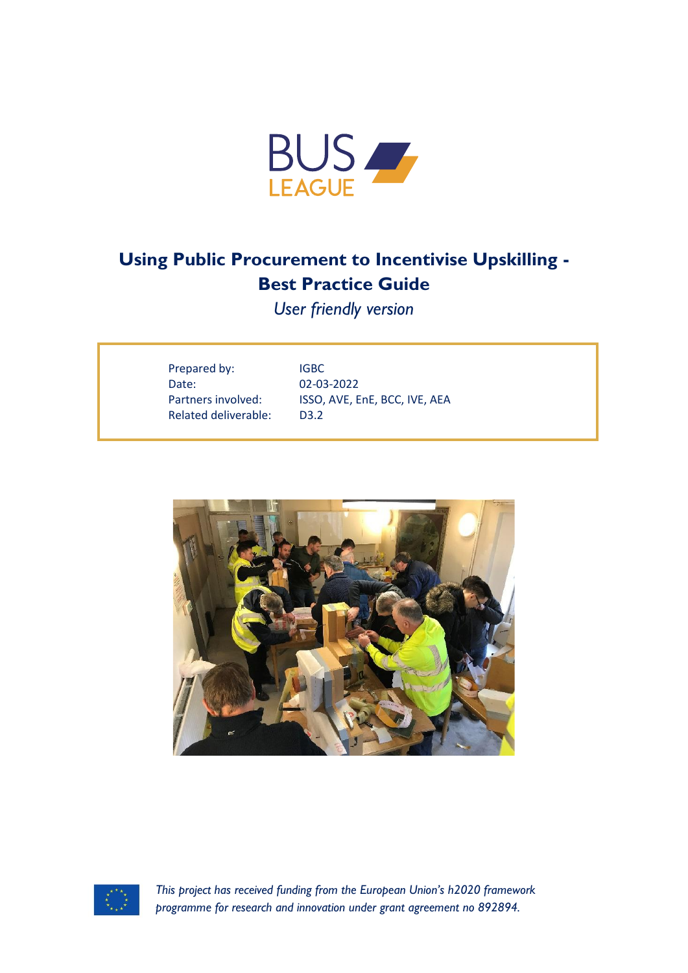

# **Using Public Procurement to Incentivise Upskilling - Best Practice Guide**

*User friendly version*

| Prepared by:         | IGBC                          |
|----------------------|-------------------------------|
| Date:                | 02-03-2022                    |
| Partners involved:   | ISSO, AVE, EnE, BCC, IVE, AEA |
| Related deliverable: | D <sub>3.2</sub>              |
|                      |                               |





*This project has received funding from the European Union's h2020 framework programme for research and innovation under grant agreement no 892894.*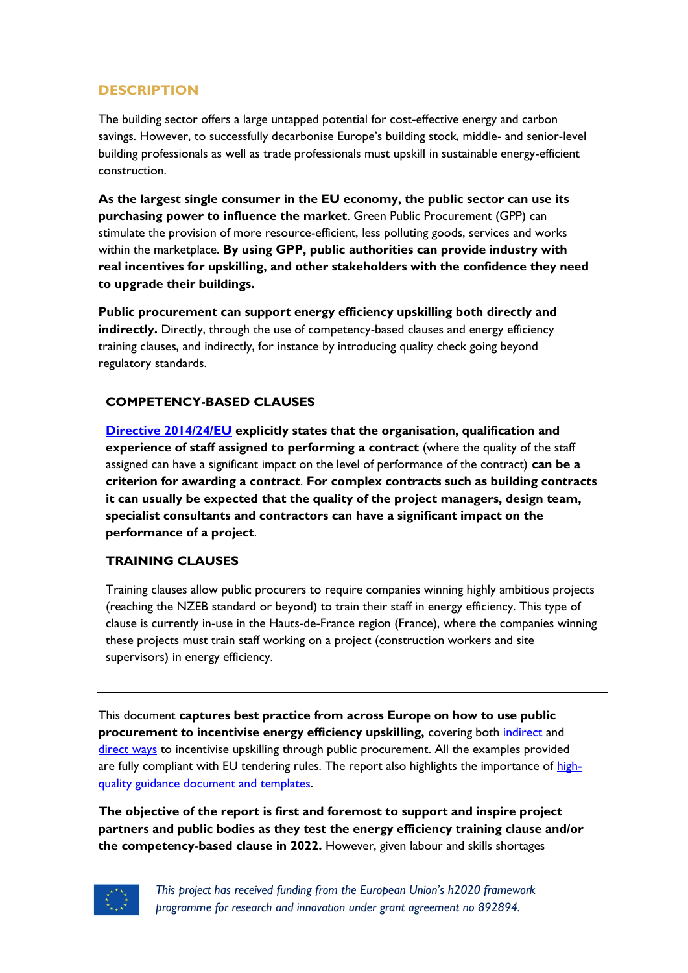## **DESCRIPTION**

The building sector offers a large untapped potential for cost-effective energy and carbon savings. However, to successfully decarbonise Europe's building stock, middle- and senior-level building professionals as well as trade professionals must upskill in sustainable energy-efficient construction.

**As the largest single consumer in the EU economy, the public sector can use its purchasing power to influence the market**. Green Public Procurement (GPP) can stimulate the provision of more resource-efficient, less polluting goods, services and works within the marketplace. **By using GPP, public authorities can provide industry with real incentives for upskilling, and other stakeholders with the confidence they need to upgrade their buildings.** 

**Public procurement can support energy efficiency upskilling both directly and indirectly.** Directly, through the use of competency-based clauses and energy efficiency training clauses, and indirectly, for instance by introducing quality check going beyond regulatory standards.

#### **COMPETENCY-BASED CLAUSES**

**[Directive 2014/24/EU](https://eur-lex.europa.eu/legal-content/EN/TXT/?uri=celex%3A32014L0024) explicitly states that the organisation, qualification and experience of staff assigned to performing a contract** (where the quality of the staff assigned can have a significant impact on the level of performance of the contract) **can be a criterion for awarding a contract**. **For complex contracts such as building contracts it can usually be expected that the quality of the project managers, design team, specialist consultants and contractors can have a significant impact on the performance of a project**.

#### **TRAINING CLAUSES**

Training clauses allow public procurers to require companies winning highly ambitious projects (reaching the NZEB standard or beyond) to train their staff in energy efficiency. This type of clause is currently in-use in the Hauts-de-France region (France), where the companies winning these projects must train staff working on a project (construction workers and site supervisors) in energy efficiency.

This document **captures best practice from across Europe on how to use public procurement to incentivise energy efficiency upskilling, covering both** *indirect* **and** direct ways to incentivise upskilling through public procurement. All the examples provided are fully compliant with EU tendering rules. The report also highlights the importance of highquality guidance document and templates.

**The objective of the report is first and foremost to support and inspire project partners and public bodies as they test the energy efficiency training clause and/or the competency-based clause in 2022.** However, given labour and skills shortages



*This project has received funding from the European Union's h2020 framework programme for research and innovation under grant agreement no 892894.*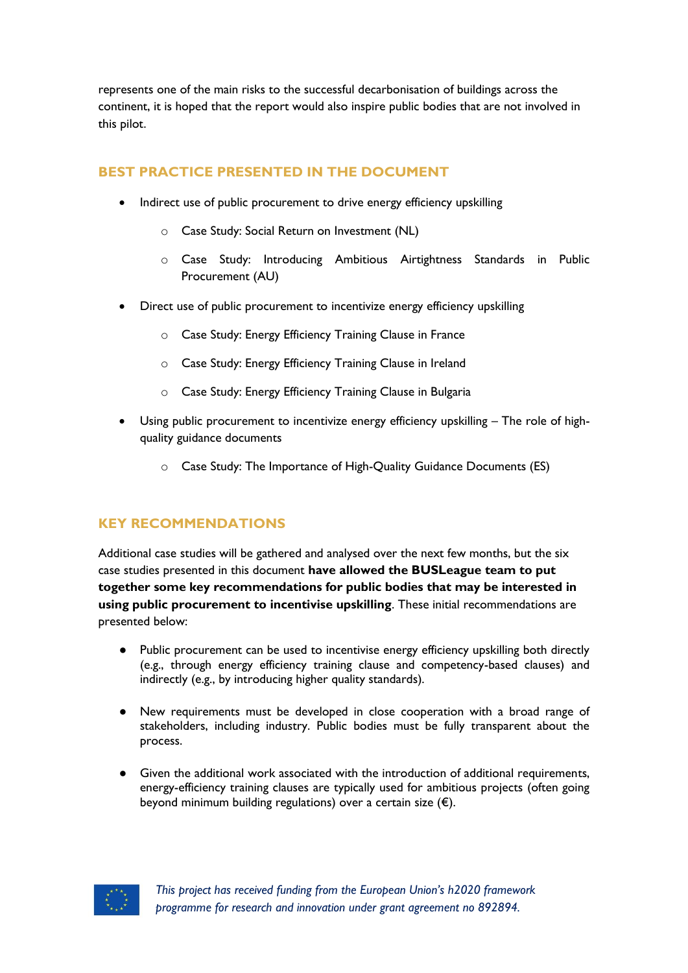represents one of the main risks to the successful decarbonisation of buildings across the continent, it is hoped that the report would also inspire public bodies that are not involved in this pilot.

## **BEST PRACTICE PRESENTED IN THE DOCUMENT**

- Indirect use of public procurement to drive energy efficiency upskilling
	- o Case Study: Social Return on Investment (NL)
	- o Case Study: Introducing Ambitious Airtightness Standards in Public Procurement (AU)
- Direct use of public procurement to incentivize energy efficiency upskilling
	- o Case Study: Energy Efficiency Training Clause in France
	- o Case Study: Energy Efficiency Training Clause in Ireland
	- o Case Study: Energy Efficiency Training Clause in Bulgaria
- Using public procurement to incentivize energy efficiency upskilling The role of highquality guidance documents
	- o Case Study: The Importance of High-Quality Guidance Documents (ES)

### **KEY RECOMMENDATIONS**

Additional case studies will be gathered and analysed over the next few months, but the six case studies presented in this document **have allowed the BUSLeague team to put together some key recommendations for public bodies that may be interested in using public procurement to incentivise upskilling**. These initial recommendations are presented below:

- Public procurement can be used to incentivise energy efficiency upskilling both directly (e.g., through energy efficiency training clause and competency-based clauses) and indirectly (e.g., by introducing higher quality standards).
- New requirements must be developed in close cooperation with a broad range of stakeholders, including industry. Public bodies must be fully transparent about the process.
- Given the additional work associated with the introduction of additional requirements, energy-efficiency training clauses are typically used for ambitious projects (often going beyond minimum building regulations) over a certain size  $(\epsilon)$ .